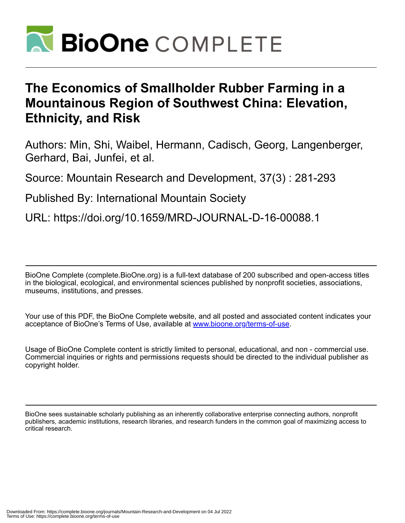

# **The Economics of Smallholder Rubber Farming in a Mountainous Region of Southwest China: Elevation, Ethnicity, and Risk**

Authors: Min, Shi, Waibel, Hermann, Cadisch, Georg, Langenberger, Gerhard, Bai, Junfei, et al.

Source: Mountain Research and Development, 37(3) : 281-293

Published By: International Mountain Society

URL: https://doi.org/10.1659/MRD-JOURNAL-D-16-00088.1

BioOne Complete (complete.BioOne.org) is a full-text database of 200 subscribed and open-access titles in the biological, ecological, and environmental sciences published by nonprofit societies, associations, museums, institutions, and presses.

Your use of this PDF, the BioOne Complete website, and all posted and associated content indicates your acceptance of BioOne's Terms of Use, available at www.bioone.org/terms-of-use.

Usage of BioOne Complete content is strictly limited to personal, educational, and non - commercial use. Commercial inquiries or rights and permissions requests should be directed to the individual publisher as copyright holder.

BioOne sees sustainable scholarly publishing as an inherently collaborative enterprise connecting authors, nonprofit publishers, academic institutions, research libraries, and research funders in the common goal of maximizing access to critical research.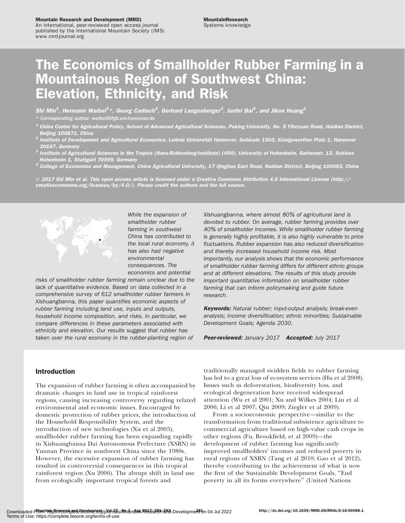### Mountain Research and Development (MRD)

An international, peer-reviewed open access journal published by the International Mountain Society (IMS) www.mrd-journal.org

# The Economics of Smallholder Rubber Farming in a Mountainous Region of Southwest China: Elevation, Ethnicity, and Risk

Shi Min<sup>1</sup>, Hermann Waibel<sup>2</sup>\*, Georg Cadisch<sup>3</sup>, Gerhard Langenberger<sup>3</sup>, Junfei Bai<sup>4</sup>, and Jikun Huang<sup>1</sup> \* Corresponding author: [waibel@ifgb.uni-hannover.de](mailto:waibel@ifgb.uni-hannover.de)

- $^{\text{\tiny{\textup{1}}}}$  China Center for Agricultural Policy, School of Advanced Agricultural Sciences, Peking University, No. 5 Yiheyuan Road, Haidian District, Beijing 100871, China
- $^2$  Institute of Development and Agricultural Economics, Leibniz Universität Hannover, Gebäude 1503, Königsworther Platz 1, Hannover 30167, Germany
- $^3$  Institute of Agricultural Sciences in the Tropics (Hans-Ruthenberg-Institute) (490), University of Hohenheim, Garbenstr. 13, Schloss
- -Hohenheim 1, Stuttgart 70599, Germany<br><sup>4</sup> College of Economics and Management, China Agricultural University, 17 Qinghua East Road, Haidian District, Beijing 100083, China

 $\circ$  2017 Shi Min et al. This open access article is licensed under a Creative Commons Attribution 4.0 International License [\(http://](http://creativecommons.org/licenses/by/4.0/) [creativecommons.org/licenses/by/4.0/](http://creativecommons.org/licenses/by/4.0/)). Please credit the authors and the full source.



While the expansion of smallholder rubber farming in southwest China has contributed to the local rural economy, it has also had negative environmental consequences. The economics and potential

risks of smallholder rubber farming remain unclear due to the lack of quantitative evidence. Based on data collected in a comprehensive survey of 612 smallholder rubber farmers in Xishuangbanna, this paper quantifies economic aspects of rubber farming including land use, inputs and outputs, household income composition, and risks. In particular, we compare differences in these parameters associated with ethnicity and elevation. Our results suggest that rubber has taken over the rural economy in the rubber-planting region of

Xishuangbanna, where almost 80% of agricultural land is devoted to rubber. On average, rubber farming provides over 40% of smallholder incomes. While smallholder rubber farming is generally highly profitable, it is also highly vulnerable to price fluctuations. Rubber expansion has also reduced diversification and thereby increased household income risk. Most importantly, our analysis shows that the economic performance of smallholder rubber farming differs for different ethnic groups and at different elevations. The results of this study provide important quantitative information on smallholder rubber farming that can inform policymaking and guide future research.

Keywords: Natural rubber; input-output analysis; break-even analysis; income diversification; ethnic minorities; Sustainable Development Goals; Agenda 2030.

Peer-reviewed: January 2017 Accepted: July 2017

# Introduction

The expansion of rubber farming is often accompanied by dramatic changes in land use in tropical rainforest regions, causing increasing controversy regarding related environmental and economic issues. Encouraged by domestic protection of rubber prices, the introduction of the Household Responsibility System, and the introduction of new technologies (Xu et al 2005), smallholder rubber farming has been expanding rapidly in Xishuangbanna Dai Autonomous Prefecture (XSBN) in Yunnan Province in southwest China since the 1980s. However, the excessive expansion of rubber farming has resulted in controversial consequences in this tropical rainforest region (Xu 2006). The abrupt shift in land use from ecologically important tropical forests and

traditionally managed swidden fields to rubber farming has led to a great loss of ecosystem services (Hu et al 2008). Issues such as deforestation, biodiversity loss, and ecological degeneration have received widespread attention (Wu et al 2001; Xu and Wilkes 2004; Liu et al 2006; Li et al 2007; Qiu 2009; Ziegler et al 2009).

From a socioeconomic perspective—similar to the transformation from traditional subsistence agriculture to commercial agriculture based on high-value cash crops in other regions (Fu, Brookfield, et al 2009)—the development of rubber farming has significantly improved smallholders' incomes and reduced poverty in rural regions of XSBN (Tang et al 2010; Gao et al 2012), thereby contributing to the achievement of what is now the first of the Sustainable Development Goals, ''End poverty in all its forms everywhere'' (United Nations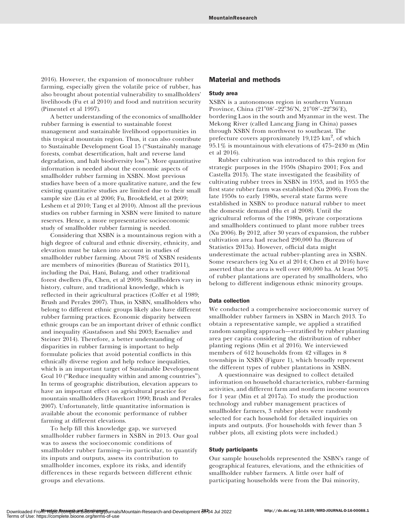2016). However, the expansion of monoculture rubber farming, especially given the volatile price of rubber, has also brought about potential vulnerability to smallholders' livelihoods (Fu et al 2010) and food and nutrition security (Pimentel et al 1997).

A better understanding of the economics of smallholder rubber farming is essential to sustainable forest management and sustainable livelihood opportunities in this tropical mountain region. Thus, it can also contribute to Sustainable Development Goal 15 (''Sustainably manage forests, combat desertification, halt and reverse land degradation, and halt biodiversity loss''). More quantitative information is needed about the economic aspects of smallholder rubber farming in XSBN. Most previous studies have been of a more qualitative nature, and the few existing quantitative studies are limited due to their small sample size (Liu et al 2006; Fu, Brookfield, et al 2009; Leshem et al 2010; Tang et al 2010). Almost all the previous studies on rubber farming in XSBN were limited to nature reserves. Hence, a more representative socioeconomic study of smallholder rubber farming is needed.

Considering that XSBN is a mountainous region with a high degree of cultural and ethnic diversity, ethnicity, and elevation must be taken into account in studies of smallholder rubber farming. About 78% of XSBN residents are members of minorities (Bureau of Statistics 2011), including the Dai, Hani, Bulang, and other traditional forest dwellers (Fu, Chen, et al 2009). Smallholders vary in history, culture, and traditional knowledge, which is reflected in their agricultural practices (Colfer et al 1989; Brush and Perales 2007). Thus, in XSBN, smallholders who belong to different ethnic groups likely also have different rubber farming practices. Economic disparity between ethnic groups can be an important driver of ethnic conflict and inequality (Gustafsson and Shi 2003; Esenaliev and Steiner 2014). Therefore, a better understanding of disparities in rubber farming is important to help formulate policies that avoid potential conflicts in this ethnically diverse region and help reduce inequalities, which is an important target of Sustainable Development Goal 10 ("Reduce inequality within and among countries"). In terms of geographic distribution, elevation appears to have an important effect on agricultural practice for mountain smallholders (Haverkort 1990; Brush and Perales 2007). Unfortunately, little quantitative information is available about the economic performance of rubber farming at different elevations.

To help fill this knowledge gap, we surveyed smallholder rubber farmers in XSBN in 2013. Our goal was to assess the socioeconomic conditions of smallholder rubber farming—in particular, to quantify its inputs and outputs, assess its contribution to smallholder incomes, explore its risks, and identify differences in these regards between different ethnic groups and elevations.

## Material and methods

## Study area

XSBN is a autonomous region in southern Yunnan Province, China (21°08′–22°36′N, 21°08′–22°36′E), bordering Laos in the south and Myanmar in the west. The Mekong River (called Lancang Jiang in China) passes through XSBN from northwest to southeast. The prefecture covers approximately 19,125 km<sup>2</sup>, of which 95.1% is mountainous with elevations of 475–2430 m (Min et al 2016).

Rubber cultivation was introduced to this region for strategic purposes in the 1950s (Shapiro 2001; Fox and Castella 2013). The state investigated the feasibility of cultivating rubber trees in XSBN in 1953, and in 1955 the first state rubber farm was established (Xu 2006). From the late 1950s to early 1980s, several state farms were established in XSBN to produce natural rubber to meet the domestic demand (Hu et al 2008). Until the agricultural reforms of the 1980s, private corporations and smallholders continued to plant more rubber trees (Xu 2006). By 2012, after 30 years of expansion, the rubber cultivation area had reached 290,000 ha (Bureau of Statistics 2013a). However, official data might underestimate the actual rubber-planting area in XSBN. Some researchers (eg Xu et al 2014; Chen et al 2016) have asserted that the area is well over  $400,\!000$  ha. At least  $50\%$ of rubber plantations are operated by smallholders, who belong to different indigenous ethnic minority groups.

## Data collection

We conducted a comprehensive socioeconomic survey of smallholder rubber farmers in XSBN in March 2013. To obtain a representative sample, we applied a stratified random sampling approach—stratified by rubber planting area per capita considering the distribution of rubber planting regions (Min et al 2016). We interviewed members of 612 households from 42 villages in 8 townships in XSBN (Figure 1), which broadly represent the different types of rubber plantations in XSBN.

A questionnaire was designed to collect detailed information on household characteristics, rubber-farming activities, and different farm and nonfarm income sources for 1 year (Min et al 2017a). To study the production technology and rubber management practices of smallholder farmers, 3 rubber plots were randomly selected for each household for detailed inquiries on inputs and outputs. (For households with fewer than 3 rubber plots, all existing plots were included.)

## Study participants

Our sample households represented the XSBN's range of geographical features, elevations, and the ethnicities of smallholder rubber farmers. A little over half of participating households were from the Dai minority,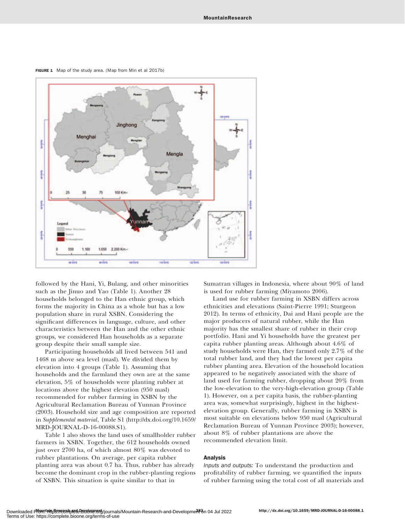FIGURE 1 Map of the study area. (Map from Min et al 2017b)



followed by the Hani, Yi, Bulang, and other minorities such as the Jinuo and Yao (Table 1). Another 28 households belonged to the Han ethnic group, which forms the majority in China as a whole but has a low population share in rural XSBN. Considering the significant differences in language, culture, and other characteristics between the Han and the other ethnic groups, we considered Han households as a separate group despite their small sample size.

Participating households all lived between 541 and 1468 m above sea level (masl). We divided them by elevation into 4 groups (Table 1). Assuming that households and the farmland they own are at the same elevation, 5% of households were planting rubber at locations above the highest elevation (950 masl) recommended for rubber farming in XSBN by the Agricultural Reclamation Bureau of Yunnan Province (2003). Household size and age composition are reported in Supplemental material, Table S1 [\(http://dx.doi.org/10.1659/](http://dx.doi.org/10.1659/MRD-JOURNAL-D-16-00088.S1) [MRD-JOURNAL-D-16-00088.S1](http://dx.doi.org/10.1659/MRD-JOURNAL-D-16-00088.S1)).

Table 1 also shows the land uses of smallholder rubber farmers in XSBN. Together, the 612 households owned just over 2700 ha, of which almost 80% was devoted to rubber plantations. On average, per capita rubber planting area was about 0.7 ha. Thus, rubber has already become the dominant crop in the rubber-planting regions of XSBN. This situation is quite similar to that in

Sumatran villages in Indonesia, where about 90% of land is used for rubber farming (Miyamoto 2006).

Land use for rubber farming in XSBN differs across ethnicities and elevations (Saint-Pierre 1991; Sturgeon 2012). In terms of ethnicity, Dai and Hani people are the major producers of natural rubber, while the Han majority has the smallest share of rubber in their crop portfolio. Hani and Yi households have the greatest per capita rubber planting areas. Although about 4.6% of study households were Han, they farmed only 2.7% of the total rubber land, and they had the lowest per capita rubber planting area. Elevation of the household location appeared to be negatively associated with the share of land used for farming rubber, dropping about 20% from the low-elevation to the very-high-elevation group (Table 1). However, on a per capita basis, the rubber-planting area was, somewhat surprisingly, highest in the highestelevation group. Generally, rubber farming in XSBN is most suitable on elevations below 950 masl (Agricultural Reclamation Bureau of Yunnan Province 2003); however, about 8% of rubber plantations are above the recommended elevation limit.

# Analysis

Inputs and outputs: To understand the production and profitability of rubber farming, we quantified the inputs of rubber farming using the total cost of all materials and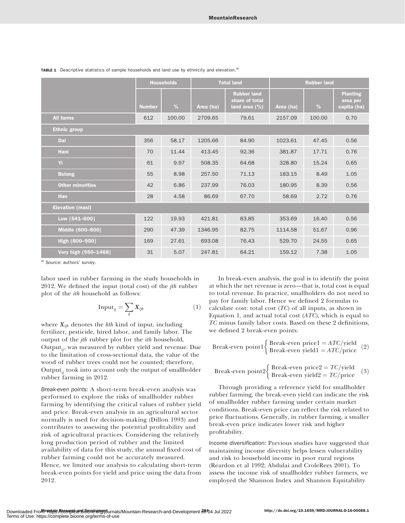|                         | <b>Households</b> |        |           | <b>Total land</b>                                        | <b>Rubber land</b> |        |                                            |  |
|-------------------------|-------------------|--------|-----------|----------------------------------------------------------|--------------------|--------|--------------------------------------------|--|
|                         | <b>Number</b>     | %      | Area (ha) | <b>Rubber land</b><br>share of total<br>land area $(\%)$ | Area (ha)          | %      | <b>Planting</b><br>area per<br>capita (ha) |  |
| <b>All farms</b>        | 612               | 100.00 | 2709.65   | 79.61                                                    | 2157.09            | 100.00 | 0.70                                       |  |
| <b>Ethnic group</b>     |                   |        |           |                                                          |                    |        |                                            |  |
| Dai                     | 356               | 58.17  | 1205.66   | 84.90                                                    | 1023.61            | 47.45  | 0.56                                       |  |
| Hani                    | 70                | 11.44  | 413.45    | 92.36                                                    | 381.87             | 17.71  | 0.76                                       |  |
| Yi                      | 61                | 9.97   | 508.35    | 64.68                                                    | 328.80             | 15.24  | 0.65                                       |  |
| <b>Bulang</b>           | 55                | 8.98   | 257.50    | 71.13                                                    | 183.15             | 8.49   | 1.05                                       |  |
| <b>Other minorities</b> | 42                | 6.86   | 237.99    | 76.03                                                    | 180.95             | 8.39   | 0.56                                       |  |
| <b>Han</b>              | 28                | 4.58   | 86.69     | 67.70                                                    | 58.69              | 2.72   | 0.76                                       |  |
| <b>Elevation (masl)</b> |                   |        |           |                                                          |                    |        |                                            |  |
| Low [541-600]           | 122               | 19.93  | 421.81    | 83.85                                                    | 353.69             | 16.40  | 0.56                                       |  |
| Middle (600-800]        | 290               | 47.39  | 1346.95   | 82.75                                                    | 1114.58            | 51.67  | 0.96                                       |  |
| High (800-950]          | 169               | 27.61  | 693.08    | 76.43                                                    | 529.70             | 24.55  | 0.65                                       |  |
| Very high (950-1468)    | 31                | 5.07   | 247.81    | 64.21                                                    | 159.12             | 7.38   | 1.05                                       |  |

**TABLE 1** Descriptive statistics of sample households and land use by ethnicity and elevation.<sup>a)</sup>

a) Source: authors' survey.

labor used in rubber farming in the study households in 2012. We defined the input (total cost) of the  $j$ th rubber plot of the ith household as follows:

$$
Input_{ij} = \sum_{k} X_{ijk} \tag{1}
$$

where  $X_{ijk}$  denotes the kth kind of input, including fertilizer, pesticide, hired labor, and family labor. The output of the jth rubber plot for the ith household, Output $_{ii}$ , was measured by rubber yield and revenue. Due to the limitation of cross-sectional data, the value of the wood of rubber trees could not be counted; therefore, Output $_{ii}$  took into account only the output of smallholder rubber farming in 2012.

Break-even points: A short-term break-even analysis was performed to explore the risks of smallholder rubber farming by identifying the critical values of rubber yield and price. Break-even analysis in an agricultural sector normally is used for decision-making (Dillon 1993) and contributes to assessing the potential profitability and risk of agricultural practices. Considering the relatively long production period of rubber and the limited availability of data for this study, the annual fixed cost of rubber farming could not be accurately measured. Hence, we limited our analysis to calculating short-term break-even points for yield and price using the data from 2012.

In break-even analysis, the goal is to identify the point at which the net revenue is zero—that is, total cost is equal to total revenue. In practice, smallholders do not need to pay for family labor. Hence we defined 2 formulas to calculate cost: total cost  $(TC)$  of all inputs, as shown in Equation 1, and actual total cost  $(ATC)$ , which is equal to TC minus family labor costs. Based on these 2 definitions, we defined 2 break-even points:

$$
Break-even point 1 \begin{cases} Break-even price 1 = ATC/yield \\ Break-even yield 1 = ATC/price \end{cases} (2)
$$

$$
Break-even point 2 \begin{cases} Break-even price 2 = TC/yield \\ Break-even yield 2 = TC/price \end{cases} (3)
$$

Through providing a reference yield for smallholder rubber farming, the break-even yield can indicate the risk of smallholder rubber farming under certain market conditions. Break-even price can reflect the risk related to price fluctuations. Generally, in rubber farming, a smaller break-even price indicates lower risk and higher profitability.

Income diversification: Previous studies have suggested that maintaining income diversity helps lessen vulnerability and risk to household income in poor rural regions (Reardon et al 1992; Abdulai and CroleRees 2001). To assess the income risk of smallholder rubber farmers, we employed the Shannon Index and Shannon Equitability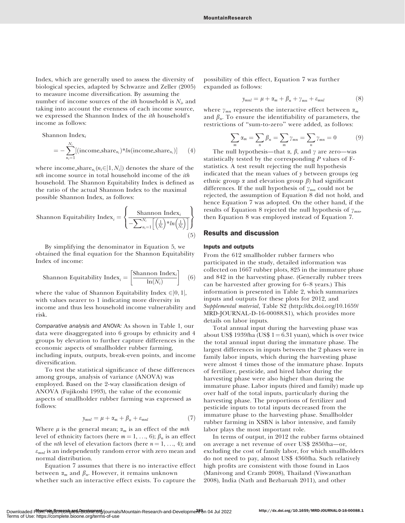Index, which are generally used to assess the diversity of biological species, adapted by Schwarze and Zeller (2005) to measure income diversification. By assuming the number of income sources of the *ith* household is  $N_i$ , and taking into account the evenness of each income source, we expressed the Shannon Index of the ith household's income as follows:

Shannon Index<sup>i</sup>

$$
= -\sum_{n_i=1}^{N_i} [(\text{income\_share}_{n_i})^* ln(\text{income\_share}_{n_i})] \qquad (4)
$$

where income share $n_i(n_i \in ]1, N_i|)$  denotes the share of the nth income source in total household income of the ith household. The Shannon Equitability Index is defined as the ratio of the actual Shannon Index to the maximal possible Shannon Index, as follows:

Shannon Equitability Index<sub>i</sub> = 
$$
\left\{ \frac{\text{Shannon Index}_{i}}{-\sum_{n_{i}=1}^{N_{i}} \left[ \left( \frac{1}{N_{i}} \right) * ln \left( \frac{1}{N_{i}} \right) \right]} \right\}
$$
(5)

By simplifying the denominator in Equation 5, we obtained the final equation for the Shannon Equitability Index of income:

Shannon Equitability Index<sub>i</sub> = 
$$
\left[ \frac{\text{Shannon Index}_i}{\ln(N_i)} \right]
$$
 (6)

where the value of Shannon Equitability Index  $\in ]0,1[,$ with values nearer to 1 indicating more diversity in income and thus less household income vulnerability and risk.

Comparative analysis and ANOVA: As shown in Table 1, our data were disaggregated into 6 groups by ethnicity and 4 groups by elevation to further capture differences in the economic aspects of smallholder rubber farming, including inputs, outputs, break-even points, and income diversification.

To test the statistical significance of these differences among groups, analysis of variance (ANOVA) was employed. Based on the 2-way classification design of ANOVA (Fujikoshi 1993), the value of the economic aspects of smallholder rubber farming was expressed as follows:

$$
y_{mnl} = \mu + \alpha_m + \beta_n + \varepsilon_{mnl} \tag{7}
$$

Where  $\mu$  is the general mean;  $\alpha_m$  is an effect of the *mth* level of ethnicity factors (here  $m = 1, ..., 6$ );  $\beta_n$  is an effect of the *nth* level of elevation factors (here  $n = 1, \ldots, 4$ ); and  $\varepsilon_{mnl}$  is an independently random error with zero mean and normal distribution.

Equation 7 assumes that there is no interactive effect between  $\alpha_m$  and  $\beta_n$ . However, it remains unknown whether such an interactive effect exists. To capture the

possibility of this effect, Equation 7 was further expanded as follows:

$$
y_{mnl} = \mu + \alpha_m + \beta_n + \gamma_{mn} + \varepsilon_{mnl} \tag{8}
$$

where  $\gamma_{mn}$  represents the interactive effect between  $\alpha_m$ and  $\beta_n$ . To ensure the identifiability of parameters, the restrictions of ''sum-to-zero'' were added, as follows:

$$
\sum_{m} \alpha_m = \sum_{n} \beta_n = \sum_{m} \gamma_{mn} = \sum_{n} \gamma_{mn} = 0 \tag{9}
$$

The null hypothesis—that  $\alpha$ ,  $\beta$ , and  $\gamma$  are zero—was statistically tested by the corresponding  $P$  values of  $F$ statistics. A test result rejecting the null hypothesis indicated that the mean values of y between groups (eg ethnic group  $\alpha$  and elevation group  $\beta$ ) had significant differences. If the null hypothesis of  $\gamma_{mn}$  could not be rejected, the assumption of Equation 8 did not hold, and hence Equation 7 was adopted. On the other hand, if the results of Equation 8 rejected the null hypothesis of  $\gamma_{mn}$ , then Equation 8 was employed instead of Equation 7.

## Results and discussion

## Inputs and outputs

From the 612 smallholder rubber farmers who participated in the study, detailed information was collected on 1667 rubber plots, 825 in the immature phase and 842 in the harvesting phase. (Generally rubber trees can be harvested after growing for 6–8 years.) This information is presented in Table 2, which summarizes inputs and outputs for these plots for 2012, and Supplemental material, Table S2 [\(http://dx.doi.org/10.1659/](http://dx.doi.org/10.1659/MRD-JOURNAL-D-16-00088.S1) [MRD-JOURNAL-D-16-00088.S1](http://dx.doi.org/10.1659/MRD-JOURNAL-D-16-00088.S1)), which provides more details on labor inputs.

Total annual input during the harvesting phase was about US\$ 1939/ha (US\$  $1 = 6.31$  yuan), which is over twice the total annual input during the immature phase. The largest differences in inputs between the 2 phases were in family labor inputs, which during the harvesting phase were almost 4 times those of the immature phase. Inputs of fertilizer, pesticide, and hired labor during the harvesting phase were also higher than during the immature phase. Labor inputs (hired and family) made up over half of the total inputs, particularly during the harvesting phase. The proportions of fertilizer and pesticide inputs to total inputs decreased from the immature phase to the harvesting phase. Smallholder rubber farming in XSBN is labor intensive, and family labor plays the most important role.

In terms of output, in 2012 the rubber farms obtained on average a net revenue of over US\$ 2850/ha—or, excluding the cost of family labor, for which smallholders do not need to pay, almost US\$ 4360/ha. Such relatively high profits are consistent with those found in Laos (Manivong and Cramb 2008), Thailand (Viswanathan 2008), India (Nath and Bezbaruah 2011), and other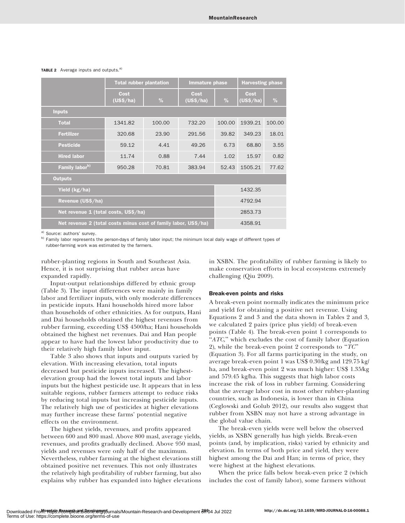|                                                                 |        |                                | <b>Harvesting phase</b> |                   |                                          |  |
|-----------------------------------------------------------------|--------|--------------------------------|-------------------------|-------------------|------------------------------------------|--|
| Cost<br>(US\$/ha)                                               | $\%$   | Cost<br>(US\$/ha)              | $\frac{9}{6}$           | Cost<br>(US\$/ha) | $\frac{0}{0}$                            |  |
|                                                                 |        |                                |                         |                   |                                          |  |
| 1341.82                                                         | 100.00 | 732.20                         | 100.00                  | 1939.21           | 100.00                                   |  |
| 320.68                                                          | 23.90  | 291.56                         | 39.82                   | 349.23            | 18.01                                    |  |
| 59.12                                                           | 4.41   | 49.26                          | 6.73                    | 68.80             | 3.55                                     |  |
| 11.74                                                           | 0.88   | 7.44                           | 1.02                    | 15.97             | 0.82                                     |  |
| 950.28                                                          | 70.81  | 383.94                         | 52.43                   | 1505.21           | 77.62                                    |  |
|                                                                 |        |                                |                         |                   |                                          |  |
| Yield (kg/ha)                                                   |        |                                |                         |                   |                                          |  |
| Revenue (US\$/ha)                                               |        |                                |                         |                   |                                          |  |
| Net revenue 1 (total costs, US\$/ha)                            |        |                                |                         |                   |                                          |  |
| Net revenue 2 (total costs minus cost of family labor, US\$/ha) |        |                                |                         |                   |                                          |  |
|                                                                 |        | <b>Total rubber plantation</b> |                         | Immature phase    | 1432.35<br>4792.94<br>2853.73<br>4358.91 |  |

## TABLE 2 Average inputs and outputs.<sup>a)</sup>

a) Source: authors' survey.

b) Family labor represents the person-days of family labor input; the minimum local daily wage of different types of rubber-farming work was estimated by the farmers.

rubber-planting regions in South and Southeast Asia. Hence, it is not surprising that rubber areas have expanded rapidly.

in XSBN. The profitability of rubber farming is likely to make conservation efforts in local ecosystems extremely challenging (Qiu 2009).

Input-output relationships differed by ethnic group (Table 3). The input differences were mainly in family labor and fertilizer inputs, with only moderate differences in pesticide inputs. Hani households hired more labor than households of other ethnicities. As for outputs, Hani and Dai households obtained the highest revenues from rubber farming, exceeding US\$ 4500/ha; Hani households obtained the highest net revenues. Dai and Han people appear to have had the lowest labor productivity due to their relatively high family labor input.

Table 3 also shows that inputs and outputs varied by elevation. With increasing elevation, total inputs decreased but pesticide inputs increased. The highestelevation group had the lowest total inputs and labor inputs but the highest pesticide use. It appears that in less suitable regions, rubber farmers attempt to reduce risks by reducing total inputs but increasing pesticide inputs. The relatively high use of pesticides at higher elevations may further increase these farms' potential negative effects on the environment.

The highest yields, revenues, and profits appeared between 600 and 800 masl. Above 800 masl, average yields, revenues, and profits gradually declined. Above 950 masl, yields and revenues were only half of the maximum. Nevertheless, rubber farming at the highest elevations still obtained positive net revenues. This not only illustrates the relatively high profitability of rubber farming, but also explains why rubber has expanded into higher elevations

# Break-even points and risks

A break-even point normally indicates the minimum price and yield for obtaining a positive net revenue. Using Equations 2 and 3 and the data shown in Tables 2 and 3, we calculated 2 pairs (price plus yield) of break-even points (Table 4). The break-even point 1 corresponds to " $ATC$ ," which excludes the cost of family labor (Equation 2), while the break-even point 2 corresponds to " $TC$ " (Equation 3). For all farms participating in the study, on average break-even point 1 was US\$ 0.30/kg and 129.75 kg/ ha, and break-even point 2 was much higher: US\$ 1.35/kg and 579.45 kg/ha. This suggests that high labor costs increase the risk of loss in rubber farming. Considering that the average labor cost in most other rubber-planting countries, such as Indonesia, is lower than in China (Ceglowski and Golub 2012), our results also suggest that rubber from XSBN may not have a strong advantage in the global value chain.

The break-even yields were well below the observed yields, as XSBN generally has high yields. Break-even points (and, by implication, risks) varied by ethnicity and elevation. In terms of both price and yield, they were highest among the Dai and Han; in terms of price, they were highest at the highest elevations.

When the price falls below break-even price 2 (which includes the cost of family labor), some farmers without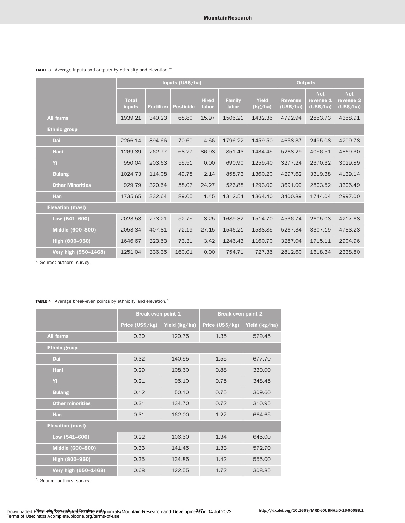|                         | Inputs (US\$/ha)              |                   |           |                       |                        |                         | <b>Outputs</b>              |                                      |                                      |  |  |
|-------------------------|-------------------------------|-------------------|-----------|-----------------------|------------------------|-------------------------|-----------------------------|--------------------------------------|--------------------------------------|--|--|
|                         | <b>Total</b><br><b>inputs</b> | <b>Fertilizer</b> | Pesticide | <b>Hired</b><br>labor | <b>Family</b><br>labor | <b>Yield</b><br>(kg/ha) | <b>Revenue</b><br>(US\$/ha) | <b>Net</b><br>revenue 1<br>(US\$/ha) | <b>Net</b><br>revenue 2<br>(US\$/ha) |  |  |
| <b>All farms</b>        | 1939.21                       | 349.23            | 68.80     | 15.97                 | 1505.21                | 1432.35                 | 4792.94                     | 2853.73                              | 4358.91                              |  |  |
| <b>Ethnic group</b>     |                               |                   |           |                       |                        |                         |                             |                                      |                                      |  |  |
| Dai                     | 2266.14                       | 394.66            | 70.60     | 4.66                  | 1796.22                | 1459.50                 | 4658.37                     | 2495.08                              | 4209.78                              |  |  |
| Hani                    | 1269.39                       | 262.77            | 68.27     | 86.93                 | 851.43                 | 1434.45                 | 5268.29                     | 4056.51                              | 4869.30                              |  |  |
| Yi                      | 950.04                        | 203.63            | 55.51     | 0.00                  | 690.90                 | 1259.40                 | 3277.24                     | 2370.32                              | 3029.89                              |  |  |
| <b>Bulang</b>           | 1024.73                       | 114.08            | 49.78     | 2.14                  | 858.73                 | 1360.20                 | 4297.62                     | 3319.38                              | 4139.14                              |  |  |
| <b>Other Minorities</b> | 929.79                        | 320.54            | 58.07     | 24.27                 | 526.88                 | 1293.00                 | 3691.09                     | 2803.52                              | 3306.49                              |  |  |
| Han                     | 1735.65                       | 332.64            | 89.05     | 1.45                  | 1312.54                | 1364.40                 | 3400.89                     | 1744.04                              | 2997.00                              |  |  |
| <b>Elevation (masl)</b> |                               |                   |           |                       |                        |                         |                             |                                      |                                      |  |  |
| Low (541-600)           | 2023.53                       | 273.21            | 52.75     | 8.25                  | 1689.32                | 1514.70                 | 4536.74                     | 2605.03                              | 4217.68                              |  |  |
| Middle (600-800)        | 2053.34                       | 407.81            | 72.19     | 27.15                 | 1546.21                | 1538.85                 | 5267.34                     | 3307.19                              | 4783.23                              |  |  |
| High (800-950)          | 1646.67                       | 323.53            | 73.31     | 3.42                  | 1246.43                | 1160.70                 | 3287.04                     | 1715.11                              | 2904.96                              |  |  |
| Very high (950-1468)    | 1251.04                       | 336.35            | 160.01    | 0.00                  | 754.71                 | 727.35                  | 2812.60                     | 1618.34                              | 2338.80                              |  |  |

# TABLE 3 Average inputs and outputs by ethnicity and elevation.<sup>a)</sup>

a) Source: authors' survey.

# TABLE 4 Average break-even points by ethnicity and elevation.<sup>a)</sup>

|                         | <b>Break-even point 1</b> |               | <b>Break-even point 2</b> |               |  |  |
|-------------------------|---------------------------|---------------|---------------------------|---------------|--|--|
|                         | Price (US\$/kg)           | Yield (kg/ha) | Price (US\$/kg)           | Yield (kg/ha) |  |  |
| <b>All farms</b>        | 0.30                      | 129.75        | 1.35                      | 579.45        |  |  |
| <b>Ethnic group</b>     |                           |               |                           |               |  |  |
| Dai                     | 0.32                      | 140.55        | 1.55                      | 677.70        |  |  |
| Hani                    | 0.29                      | 108.60        | 0.88                      | 330.00        |  |  |
| Yi                      | 0.21                      | 95.10         | 0.75                      | 348.45        |  |  |
| <b>Bulang</b>           | 0.12                      | 50.10         | 0.75                      | 309.60        |  |  |
| <b>Other minorities</b> | 0.31                      | 134.70        | 0.72                      | 310.95        |  |  |
| <b>Han</b>              | 0.31                      | 162.00        | 1.27                      | 664.65        |  |  |
| <b>Elevation (masl)</b> |                           |               |                           |               |  |  |
| Low $(541 - 600)$       | 0.22                      | 106.50        | 1.34                      | 645.00        |  |  |
| Middle (600-800)        | 0.33                      | 141.45        | 1.33                      | 572.70        |  |  |
| High (800-950)          | 0.35                      | 134.85        | 1.42                      | 555.00        |  |  |
| Very high (950-1468)    | 0.68                      | 122.55        | 1.72                      | 308.85        |  |  |

a) Source: authors' survey.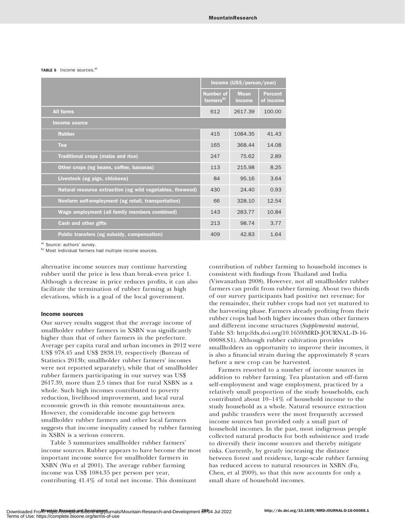#### TABLE 5 Income sources.<sup>a)</sup>

|                                                            | Income (US\$/person/year)                 |                       |                             |  |  |  |
|------------------------------------------------------------|-------------------------------------------|-----------------------|-----------------------------|--|--|--|
|                                                            | <b>Number of</b><br>farmers <sup>b)</sup> | <b>Mean</b><br>income | <b>Percent</b><br>of income |  |  |  |
| <b>All farms</b>                                           | 612                                       | 2617.39               | 100.00                      |  |  |  |
| <b>Income source</b>                                       |                                           |                       |                             |  |  |  |
| <b>Rubber</b>                                              | 415                                       | 1084.35               | 41.43                       |  |  |  |
| Tea                                                        | 165                                       | 368.44                | 14.08                       |  |  |  |
| Traditional crops (maize and rice)                         | 247                                       | 75.62                 | 2.89                        |  |  |  |
| Other crops (eg beans, coffee, bananas)                    | 113                                       | 215.98                | 8.25                        |  |  |  |
| Livestock (eg pigs, chickens)                              | 84                                        | 95.16                 | 3.64                        |  |  |  |
| Natural resource extraction (eg wild vegetables, firewood) | 430                                       | 24.40                 | 0.93                        |  |  |  |
| Nonfarm self-employment (eg retail, transportation)        | 66                                        | 328.10                | 12.54                       |  |  |  |
| Wage employment (all family members combined)              | 143                                       | 283.77                | 10.84                       |  |  |  |
| <b>Cash and other gifts</b>                                | 213                                       | 98.74                 | 3.77                        |  |  |  |
| Public transfers (eg subsidy, compensation)                | 409                                       | 42.83                 | 1.64                        |  |  |  |

a) Source: authors' survey.

b) Most individual farmers had multiple income sources.

alternative income sources may continue harvesting rubber until the price is less than break-even price 1. Although a decrease in price reduces profits, it can also facilitate the termination of rubber farming at high elevations, which is a goal of the local government.

## Income sources

Our survey results suggest that the average income of smallholder rubber farmers in XSBN was significantly higher than that of other farmers in the prefecture. Average per capita rural and urban incomes in 2012 were US\$ 978.45 and US\$ 2838.19, respectively (Bureau of Statistics 2013b; smallholder rubber farmers' incomes were not reported separately), while that of smallholder rubber farmers participating in our survey was US\$ 2617.39, more than 2.5 times that for rural XSBN as a whole. Such high incomes contributed to poverty reduction, livelihood improvement, and local rural economic growth in this remote mountainous area. However, the considerable income gap between smallholder rubber farmers and other local farmers suggests that income inequality caused by rubber farming in XSBN is a serious concern.

Table 5 summarizes smallholder rubber farmers' income sources. Rubber appears to have become the most important income source for smallholder farmers in XSBN (Wu et al 2001). The average rubber farming income was US\$ 1084.35 per person per year, contributing 41.4% of total net income. This dominant

contribution of rubber farming to household incomes is consistent with findings from Thailand and India (Viswanathan 2008). However, not all smallholder rubber farmers can profit from rubber farming. About two thirds of our survey participants had positive net revenue; for the remainder, their rubber crops had not yet matured to the harvesting phase. Farmers already profiting from their rubber crops had both higher incomes than other farmers and different income structures (Supplemental material, Table S3: [http://dx.doi.org/10.1659/MRD-JOURNAL-D-16-](http://dx.doi.org/10.1659/MRD-JOURNAL-D-16-00088.S1) [00088.S1\)](http://dx.doi.org/10.1659/MRD-JOURNAL-D-16-00088.S1). Although rubber cultivation provides smallholders an opportunity to improve their incomes, it is also a financial strain during the approximately 8 years before a new crop can be harvested.

Farmers resorted to a number of income sources in addition to rubber farming. Tea plantation and off-farm self-employment and wage employment, practiced by a relatively small proportion of the study households, each contributed about 10–14% of household income to the study household as a whole. Natural resource extraction and public transfers were the most frequently accessed income sources but provided only a small part of household incomes. In the past, most indigenous people collected natural products for both subsistence and trade to diversify their income sources and thereby mitigate risks. Currently, by greatly increasing the distance between forest and residence, large-scale rubber farming has reduced access to natural resources in XSBN (Fu, Chen, et al 2009), so that this now accounts for only a small share of household incomes.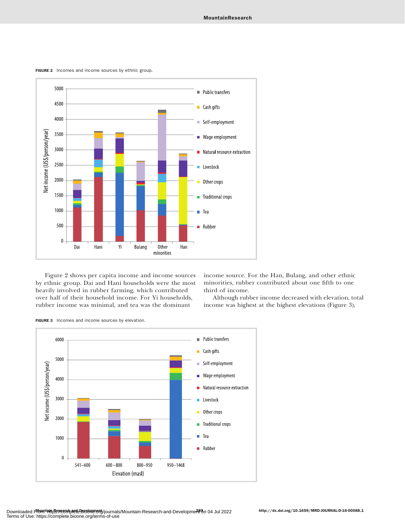FIGURE 2 Incomes and income sources by ethnic group.



Figure 2 shows per capita income and income sources by ethnic group. Dai and Hani households were the most heavily involved in rubber farming, which contributed over half of their household income. For Yi households, rubber income was minimal, and tea was the dominant

income source. For the Han, Bulang, and other ethnic minorities, rubber contributed about one fifth to one third of income.

Although rubber income decreased with elevation, total income was highest at the highest elevations (Figure 3),

FIGURE 3 Incomes and income sources by elevation.

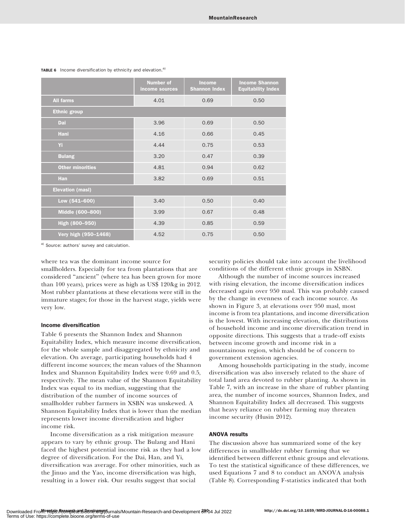|                         | <b>Number of</b><br>income sources | <b>Income</b><br><b>Shannon Index</b> | <b>Income Shannon</b><br><b>Equitability Index</b> |
|-------------------------|------------------------------------|---------------------------------------|----------------------------------------------------|
| <b>All farms</b>        | 4.01                               | 0.69                                  | 0.50                                               |
| <b>Ethnic group</b>     |                                    |                                       |                                                    |
| Dai                     | 3.96                               | 0.69                                  | 0.50                                               |
| Hani                    | 4.16                               | 0.66                                  | 0.45                                               |
| Yi.                     | 4.44                               | 0.75                                  | 0.53                                               |
| <b>Bulang</b>           | 3.20                               | 0.47                                  | 0.39                                               |
| <b>Other minorities</b> | 4.81                               | 0.94                                  | 0.62                                               |
| <b>Han</b>              | 3.82                               | 0.69                                  | 0.51                                               |
| <b>Elevation (masl)</b> |                                    |                                       |                                                    |
| Low $(541 - 600)$       | 3.40                               | 0.50                                  | 0.40                                               |
| Middle (600-800)        | 3.99                               | 0.67                                  | 0.48                                               |
| High (800-950)          | 4.39                               | 0.85                                  | 0.59                                               |
| Very high (950-1468)    | 4.52                               | 0.75                                  | 0.50                                               |

TABLE 6 Income diversification by ethnicity and elevation.<sup>a)</sup>

a) Source: authors' survey and calculation.

where tea was the dominant income source for smallholders. Especially for tea from plantations that are considered ''ancient'' (where tea has been grown for more than 100 years), prices were as high as US\$ 120/kg in 2012. Most rubber plantations at these elevations were still in the immature stages; for those in the harvest stage, yields were very low.

### Income diversification

Table 6 presents the Shannon Index and Shannon Equitability Index, which measure income diversification, for the whole sample and disaggregated by ethnicity and elevation. On average, participating households had 4 different income sources; the mean values of the Shannon Index and Shannon Equitability Index were 0.69 and 0.5, respectively. The mean value of the Shannon Equitability Index was equal to its median, suggesting that the distribution of the number of income sources of smallholder rubber farmers in XSBN was unskewed. A Shannon Equitability Index that is lower than the median represents lower income diversification and higher income risk.

Income diversification as a risk mitigation measure appears to vary by ethnic group. The Bulang and Hani faced the highest potential income risk as they had a low degree of diversification. For the Dai, Han, and Yi, diversification was average. For other minorities, such as the Jinuo and the Yao, income diversification was high, resulting in a lower risk. Our results suggest that social

security policies should take into account the livelihood conditions of the different ethnic groups in XSBN.

Although the number of income sources increased with rising elevation, the income diversification indices decreased again over 950 masl. This was probably caused by the change in evenness of each income source. As shown in Figure 3, at elevations over 950 masl, most income is from tea plantations, and income diversification is the lowest. With increasing elevation, the distributions of household income and income diversification trend in opposite directions. This suggests that a trade-off exists between income growth and income risk in a mountainous region, which should be of concern to government extension agencies.

Among households participating in the study, income diversification was also inversely related to the share of total land area devoted to rubber planting. As shown in Table 7, with an increase in the share of rubber planting area, the number of income sources, Shannon Index, and Shannon Equitability Index all decreased. This suggests that heavy reliance on rubber farming may threaten income security (Husin 2012).

## ANOVA results

The discussion above has summarized some of the key differences in smallholder rubber farming that we identified between different ethnic groups and elevations. To test the statistical significance of these differences, we used Equations 7 and 8 to conduct an ANOVA analysis (Table 8). Corresponding F-statistics indicated that both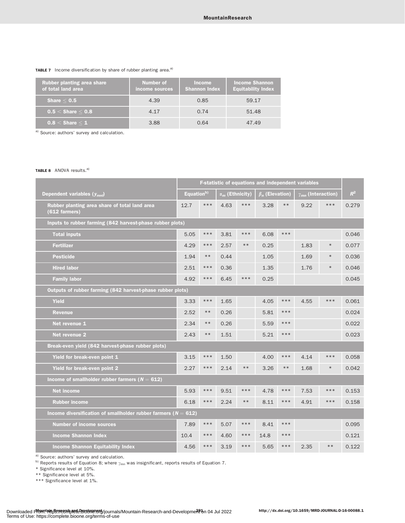## TABLE 7 Income diversification by share of rubber planting area.<sup>a)</sup>

| <b>Rubber planting area share</b><br>of total land area | Number of<br>income sources | <b>Income</b><br><b>Shannon Index</b> | <b>Income Shannon</b><br><b>Equitability Index</b> |
|---------------------------------------------------------|-----------------------------|---------------------------------------|----------------------------------------------------|
| Share $< 0.5$                                           | 4.39                        | 0.85                                  | 59.17                                              |
| $0.5 <$ Share $< 0.8$                                   | 4.17                        | 0.74                                  | 51.48                                              |
| $0.8 <$ Share $\leq$ 1                                  | 3.88                        | 0.64                                  | 47.49                                              |

a) Source: authors' survey and calculation.

## TABLE 8 ANOVA results.<sup>a)</sup>

|                                                                    | F-statistic of equations and independent variables |            |                                   |       |                       |       |                             |        |       |
|--------------------------------------------------------------------|----------------------------------------------------|------------|-----------------------------------|-------|-----------------------|-------|-----------------------------|--------|-------|
| Dependent variables $(y_{mnl})$                                    | Equation <sup>b)</sup>                             |            | $\overline{\alpha_m}$ (Ethnicity) |       | $\beta_n$ (Elevation) |       | $\gamma_{mn}$ (Interaction) |        | $R^2$ |
| Rubber planting area share of total land area<br>(612 farmers)     | 12.7                                               | $***$      | 4.63                              | ***   | 3.28                  | $**$  | 9.22                        | ***    | 0.279 |
| Inputs to rubber farming (842 harvest-phase rubber plots)          |                                                    |            |                                   |       |                       |       |                             |        |       |
| <b>Total inputs</b>                                                | 5.05                                               | $***$      | 3.81                              | $***$ | 6.08                  | $***$ |                             |        | 0.046 |
| <b>Fertilizer</b>                                                  | 4.29                                               | $***$      | 2.57                              | $***$ | 0.25                  |       | 1.83                        | $\ast$ | 0.077 |
| <b>Pesticide</b>                                                   | 1.94                                               | $\ast\ast$ | 0.44                              |       | 1.05                  |       | 1.69                        | $\ast$ | 0.036 |
| <b>Hired labor</b>                                                 | 2.51                                               | $***$      | 0.36                              |       | 1.35                  |       | 1.76                        | $\ast$ | 0.046 |
| <b>Family labor</b>                                                | 4.92                                               | $***$      | 6.45                              | ***   | 0.25                  |       |                             |        | 0.045 |
| Outputs of rubber farming (842 harvest-phase rubber plots)         |                                                    |            |                                   |       |                       |       |                             |        |       |
| Yield                                                              | 3.33                                               | $***$      | 1.65                              |       | 4.05                  | $***$ | 4.55                        | ***    | 0.061 |
| <b>Revenue</b>                                                     | 2.52                                               | $***$      | 0.26                              |       | 5.81                  | ***   |                             |        | 0.024 |
| Net revenue 1                                                      | 2.34                                               | $\ast\ast$ | 0.26                              |       | 5.59                  | $***$ |                             |        | 0.022 |
| Net revenue 2                                                      | 2.43                                               | $***$      | 1.51                              |       | 5.21                  | $***$ |                             |        | 0.023 |
| Break-even yield (842 harvest-phase rubber plots)                  |                                                    |            |                                   |       |                       |       |                             |        |       |
| Yield for break-even point 1                                       | 3.15                                               | ***        | 1.50                              |       | 4.00                  | $***$ | 4.14                        | ***    | 0.058 |
| Yield for break-even point 2                                       | 2.27                                               | ***        | 2.14                              | $***$ | 3.26                  | $**$  | 1.68                        | $\ast$ | 0.042 |
| Income of smallholder rubber farmers ( $N = 612$ )                 |                                                    |            |                                   |       |                       |       |                             |        |       |
| <b>Net income</b>                                                  | 5.93                                               | $***$      | 9.51                              | ***   | 4.78                  | $***$ | 7.53                        | ***    | 0.153 |
| <b>Rubber income</b>                                               | 6.18                                               | $***$      | 2.24                              | $***$ | 8.11                  | $***$ | 4.91                        | ***    | 0.158 |
| Income diversification of smallholder rubber farmers ( $N = 612$ ) |                                                    |            |                                   |       |                       |       |                             |        |       |
| <b>Number of income sources</b>                                    | 7.89                                               | $***$      | 5.07                              | $***$ | 8.41                  | $***$ |                             |        | 0.095 |
| <b>Income Shannon Index</b>                                        | 10.4                                               | $***$      | 4.60                              | $***$ | 14.8                  | $***$ |                             |        | 0.121 |
| <b>Income Shannon Equitability Index</b>                           | 4.56                                               | $***$      | 3.19                              | ***   | 5.65                  | $***$ | 2.35                        | $***$  | 0.122 |

a) Source: authors' survey and calculation.

b) Reports results of Equation 8; where  $\gamma_{mn}$  was insignificant, reports results of Equation 7.

\* Significance level at 10%.

\*\* Significance level at 5%.

\*\*\* Significance level at 1%.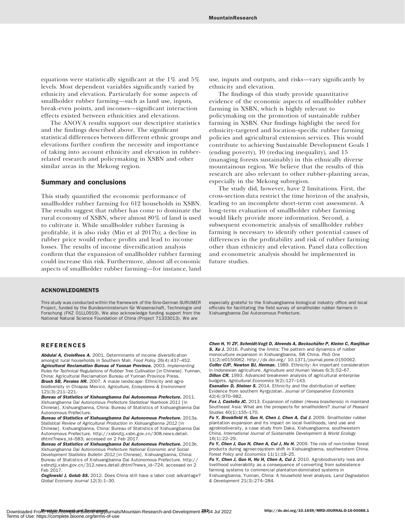equations were statistically significant at the 1% and 5% levels. Most dependent variables significantly varied by ethnicity and elevation. Particularly for some aspects of smallholder rubber farming—such as land use, inputs, break-even points, and incomes—significant interaction effects existed between ethnicities and elevations.

The ANOVA results support our descriptive statistics and the findings described above. The significant statistical differences between different ethnic groups and elevations further confirm the necessity and importance of taking into account ethnicity and elevation in rubberrelated research and policymaking in XSBN and other similar areas in the Mekong region.

## Summary and conclusions

This study quantified the economic performance of smallholder rubber farming for 612 households in XSBN. The results suggest that rubber has come to dominate the rural economy of XSBN, where almost 80% of land is used to cultivate it. While smallholder rubber farming is profitable, it is also risky (Min et al 2017b); a decline in rubber price would reduce profits and lead to income losses. The results of income diversification analysis confirm that the expansion of smallholder rubber farming could increase this risk. Furthermore, almost all economic aspects of smallholder rubber farming—for instance, land use, inputs and outputs, and risks—vary significantly by ethnicity and elevation.

The findings of this study provide quantitative evidence of the economic aspects of smallholder rubber farming in XSBN, which is highly relevant to policymaking on the promotion of sustainable rubber farming in XSBN. Our findings highlight the need for ethnicity-targeted and location-specific rubber farming policies and agricultural extension services. This would contribute to achieving Sustainable Development Goals 1 (ending poverty), 10 (reducing inequality), and 15 (managing forests sustainably) in this ethnically diverse mountainous region. We believe that the results of this research are also relevant to other rubber-planting areas, especially in the Mekong subregion.

The study did, however, have 2 limitations. First, the cross-section data restrict the time horizon of the analysis, leading to an incomplete short-term cost assessment. A long-term evaluation of smallholder rubber farming would likely provide more information. Second, a subsequent econometric analysis of smallholder rubber farming is necessary to identify other potential causes of differences in the profitability and risk of rubber farming other than ethnicity and elevation. Panel data collection and econometric analysis should be implemented in future studies.

## ACKNOWLEDGMENTS

This study was conducted within the framework of the Sino-German SURUMER Project, funded by the Bundesministerium für Wissenschaft, Technologie und Forschung (FKZ 01LL0919). We also acknowledge funding support from the National Natural Science Foundation of China (Project 71333013). We are

especially grateful to the Xishuangbanna biological industry office and local officials for facilitating the field survey of smallholder rubber farmers in Xishuangbanna Dai Autonomous Prefecture.

## REFERENCES

Abdulai A, CroleRees A. 2001. Determinants of income diversification amongst rural households in Southern Mali. Food Policy 26(4):437–452. Agricultural Reclamation Bureau of Yunnan Province. 2003. Implementing Rules for Technical Regulations of Rubber Tree Cultivation [in Chinese]. Yunnan, China: Agricultural Reclamation Bureau of Yunnan Province Press. Brush SB, Perales HR. 2007. A maize landscape: Ethnicity and agrobiodiversity in Chiapas Mexico. Agriculture, Ecosystems & Environment 121(3):211–221.

Bureau of Statistics of Xishuangbanna Dai Autonomous Prefecture. 2011. Xishuangbanna Dai Autonomous Prefecture Statistical Yearbook 2011 [in Chinese]. Xishuangbanna, China: Bureau of Statistics of Xishuangbanna Dai Autonomous Prefecture.

Bureau of Statistics of Xishuangbanna Dai Autonomous Prefecture. 2013a. Statistical Review of Agricultural Production in Xishuangbanna 2012 [in Chinese]. Xishuangbanna, China: Bureau of Statistics of Xishuangbanna Dai Autonomous Prefecture. [http://xsbnztjj.xsbn.gov.cn/308.news.detail.](http://xsbnztjj.xsbn.gov.cn/308.news.detail.dhtml?news_id=583) [dhtml?news\\_id](http://xsbnztjj.xsbn.gov.cn/308.news.detail.dhtml?news_id=583)=[583;](http://xsbnztjj.xsbn.gov.cn/308.news.detail.dhtml?news_id=583) accessed on 2 Feb 2017.

Bureau of Statistics of Xishuangbanna Dai Autonomous Prefecture. 2013b. Xishuangbanna Dai Autonomous Prefecture National Economic and Social Development Statistics Bulletin 2012 [in Chinese]. Xishuangbanna, China: Bureau of Statistics of Xishuangbanna Dai Autonomous Prefecture. [http://](http://xsbnztjj.xsbn.gov.cn/312.news.detail.dhtml?news_id=724) [xsbnztjj.xsbn.gov.cn/312.news.detail.dhtml?news\\_id](http://xsbnztjj.xsbn.gov.cn/312.news.detail.dhtml?news_id=724)=[724](http://xsbnztjj.xsbn.gov.cn/312.news.detail.dhtml?news_id=724); accessed on 2 Feb 2017.

Ceglowski J, Golub SS. 2012. Does China still have a labor cost advantage? Global Economy Journal 12(3):1–30.

Chen H, Yi ZF, Schmidt-Vogt D, Ahrends A, Beckschäfer P, Kleinn C, Ranjitkar S. Xu J. 2016. Pushing the limits: The pattern and dynamics of rubber monoculture expansion in Xishuangbanna, SW China. PloS One

11(2):e0150062.<http://dx.doi.org/> 10.1371/journal.pone.0150062. Colfer CJP, Newton BJ, Herman. 1989. Ethnicity: An important consideration in Indonesian agriculture. Agriculture and Human Values 6(3):52–67. **Dillon CR.** 1993. Advanced breakeven analysis of agricultural enterprise budgets. Agricultural Economics 9(2):127–143.

**Esenaliev D, Steiner S.** 2014. Ethnicity and the distribution of welfare: Evidence from southern Kyrgyzstan. Journal of Comparative Economics 42(4):970–982.

Fox J. Castella JC. 2013. Expansion of rubber (Hevea brasiliensis) in mainland Southeast Asia: What are the prospects for smallholders? Journal of Peasant Studies  $40(1)$ :155-170.

Fu Y, Brookfield H, Guo H, Chen J, Chen A, Cui J. 2009. Smallholder rubber plantation expansion and its impact on local livelihoods, land use and agrobiodiversity, a case study from Daka, Xishuangbanna, southwestern China. International Journal of Sustainable Development & World Ecology 16(1):22–29.

Fu Y, Chen J, Guo H, Chen A, Cui J, Hu H. 2009. The role of non-timber forest products during agroecosystem shift in Xishuangbanna, southwestern China. Forest Policy and Economics 11(1):18–25.

Fu Y, Chen J, Guo H, Hu H, Chen A, Cui J. 2010. Agrobiodiversity loss and livelihood vulnerability as a consequence of converting from subsistence farming systems to commercial plantation-dominated systems in Xishuangbanna, Yunnan, China: A household level analysis. Land Degradation & Development 21(3):274–284.